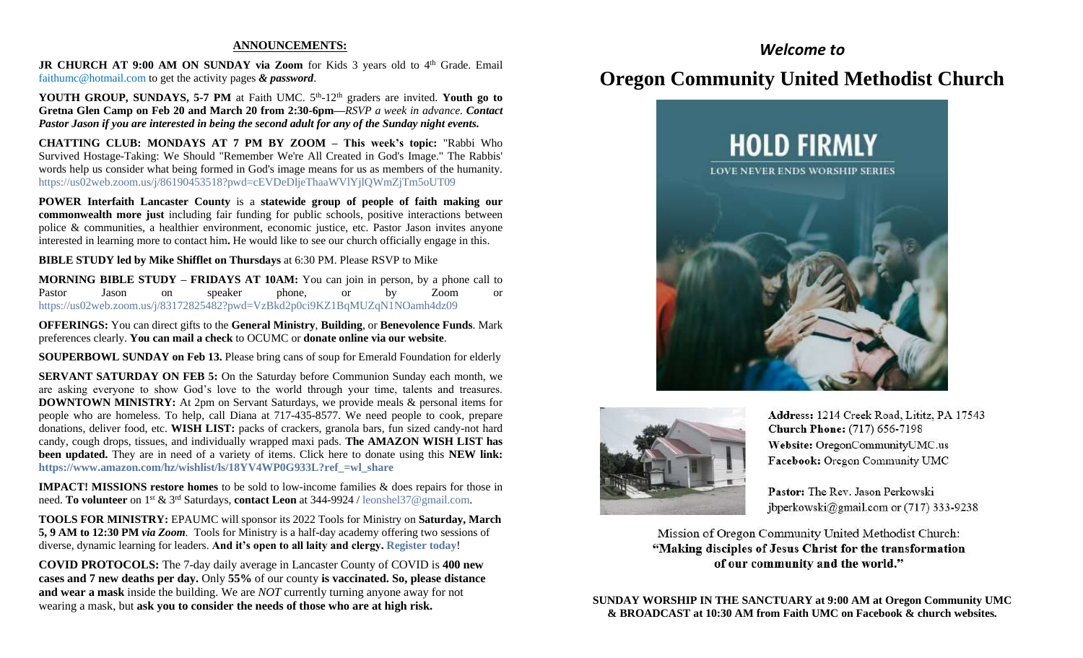### **ANNOUNCEMENTS:**

JR CHURCH AT 9:00 AM ON SUNDAY via Zoom for Kids 3 years old to 4<sup>th</sup> Grade. Email [faithumc@hotmail.com](about:blank) to get the activity pages *& password*.

YOUTH GROUP, SUNDAYS, 5-7 PM at Faith UMC. 5<sup>th</sup>-12<sup>th</sup> graders are invited. Youth go to **Gretna Glen Camp on Feb 20 and March 20 from 2:30-6pm—***RSVP a week in advance. Contact Pastor Jason if you are interested in being the second adult for any of the Sunday night events.*

**CHATTING CLUB: MONDAYS AT 7 PM BY ZOOM – This week's topic:** "Rabbi Who Survived Hostage-Taking: We Should "Remember We're All Created in God's Image." The Rabbis' words help us consider what being formed in God's image means for us as members of the humanity. https://us02web.zoom.us/j/86190453518?pwd=cEVDeDljeThaaWVlYjlQWmZjTm5oUT09

**POWER Interfaith Lancaster County** is a **statewide group of people of faith making our commonwealth more just** including fair funding for public schools, positive interactions between police & communities, a healthier environment, economic justice, etc. Pastor Jason invites anyone interested in learning more to contact him**.** He would like to see our church officially engage in this.

**BIBLE STUDY led by Mike Shifflet on Thursdays** at 6:30 PM. Please RSVP to Mike

**MORNING BIBLE STUDY – FRIDAYS AT 10AM:** You can join in person, by a phone call to Pastor Jason on speaker phone, or by Zoom or <https://us02web.zoom.us/j/83172825482?pwd=VzBkd2p0ci9KZ1BqMUZqN1NOamh4dz09>

**OFFERINGS:** You can direct gifts to the **General Ministry**, **Building**, or **Benevolence Funds**. Mark preferences clearly. **You can mail a check** to OCUMC or **donate online via our website**.

**SOUPERBOWL SUNDAY on Feb 13.** Please bring cans of soup for Emerald Foundation for elderly

**SERVANT SATURDAY ON FEB 5:** On the Saturday before Communion Sunday each month, we are asking everyone to show God's love to the world through your time, talents and treasures. **DOWNTOWN MINISTRY:** At 2pm on Servant Saturdays, we provide meals & personal items for people who are homeless. To help, call Diana at 717-435-8577. We need people to cook, prepare donations, deliver food, etc. **WISH LIST:** packs of crackers, granola bars, fun sized candy-not hard candy, cough drops, tissues, and individually wrapped maxi pads. **The AMAZON WISH LIST has been updated.** They are in need of a variety of items. Click here to donate using this **NEW link: [https://www.amazon.com/hz/wishlist/ls/18YV4WP0G933L?ref\\_=wl\\_share](https://www.amazon.com/hz/wishlist/ls/18YV4WP0G933L?ref_=wl_share)**

**IMPACT! MISSIONS restore homes** to be sold to low-income families & does repairs for those in need. **To volunteer** on 1st & 3rd Saturdays, **contact Leon** at 344-9924 / [leonshel37@gmail.com.](about:blank)

**TOOLS FOR MINISTRY:** EPAUMC will sponsor its 2022 Tools for Ministry on **Saturday, March 5, 9 AM to 12:30 PM** *via Zoom.* Tools for Ministry is a half-day academy offering two sessions of diverse, dynamic learning for leaders. **And it's open to all laity and clergy[. Register today](https://r20.rs6.net/tn.jsp?f=001v1CV_OydvQZJxLD1eIxD2izpEZOITtsn1MGLTY3OHhF5wJHABJUYP8aVskiIbSfhIJGG_jye7VDdwcBOWzrXeKNx181P67nfIriqb8YQePtDhZ3tnihhnLY03dlK0taUDYYdKHsjEnvobbFGULSXnelL2k5C5ouOWRgsVal_60RFnET5qc7K8X_WW3n1syqZdPdtJ8l8II0=&c=RAeta5RjfGcxBxm29SYURlpS3Brpq0FMyAegH9Chb2m1xiuwL58QOw==&ch=_6CqfmDMJC6Mb_lyhSxAFLFj-wIG9YHZM6R8XF1aTSuWnpNf7tGnxw==)**!

**COVID PROTOCOLS:** The 7-day daily average in Lancaster County of COVID is **400 new cases and 7 new deaths per day.** Only **55%** of our county **is vaccinated. So, please distance and wear a mask** inside the building. We are *NOT* currently turning anyone away for not wearing a mask, but **ask you to consider the needs of those who are at high risk.**

## *Welcome to*

# **Oregon Community United Methodist Church**





Address: 1214 Creek Road, Lititz, PA 17543 **Church Phone:** (717) 656-7198 Website: OregonCommunityUMC.us Facebook: Oregon Community UMC

Pastor: The Rev. Jason Perkowski jbperkowski@gmail.com or (717) 333-9238

Mission of Oregon Community United Methodist Church: "Making disciples of Jesus Christ for the transformation of our community and the world."

**SUNDAY WORSHIP IN THE SANCTUARY at 9:00 AM at Oregon Community UMC & BROADCAST at 10:30 AM from Faith UMC on Facebook & church websites.**